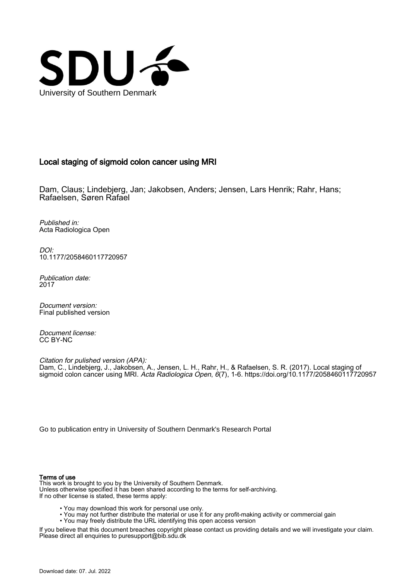

# Local staging of sigmoid colon cancer using MRI

Dam, Claus; Lindebjerg, Jan; Jakobsen, Anders; Jensen, Lars Henrik; Rahr, Hans; Rafaelsen, Søren Rafael

Published in: Acta Radiologica Open

DOI: [10.1177/2058460117720957](https://doi.org/10.1177/2058460117720957)

Publication date: 2017

Document version: Final published version

Document license: CC BY-NC

Citation for pulished version (APA): Dam, C., Lindebjerg, J., Jakobsen, A., Jensen, L. H., Rahr, H., & Rafaelsen, S. R. (2017). Local staging of sigmoid colon cancer using MRI. Acta Radiologica Open, 6(7), 1-6.<https://doi.org/10.1177/2058460117720957>

[Go to publication entry in University of Southern Denmark's Research Portal](https://portal.findresearcher.sdu.dk/en/publications/8a49b040-6097-48c2-a3b9-173c3129d79e)

#### Terms of use

This work is brought to you by the University of Southern Denmark. Unless otherwise specified it has been shared according to the terms for self-archiving. If no other license is stated, these terms apply:

- You may download this work for personal use only.
- You may not further distribute the material or use it for any profit-making activity or commercial gain
- You may freely distribute the URL identifying this open access version

If you believe that this document breaches copyright please contact us providing details and we will investigate your claim. Please direct all enquiries to puresupport@bib.sdu.dk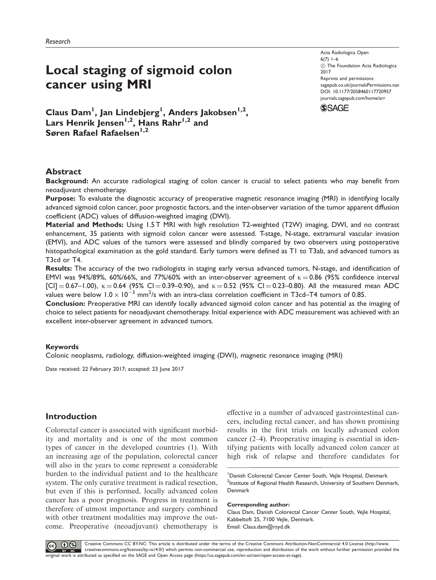# Local staging of sigmoid colon cancer using MRI

Acta Radiologica Open 6(7)  $1-6$  $\odot$  The Foundation Acta Radiologica 2017 Reprints and permissions: [sagepub.co.uk/journalsPermissions.nav](https://uk.sagepub.com/en-gb/journals-permissions) DOI: [10.1177/2058460117720957](https://doi.org/10.1177/2058460117720957) <journals.sagepub.com/home/arr>



Claus Dam<sup>1</sup>, Jan Lindebjerg<sup>1</sup>, Anders Jakobsen<sup>1,2</sup>, Lars Henrik Jensen<sup>1,2</sup>, Hans Rahr<sup>1,2</sup> and Søren Rafael Rafaelsen<sup>1,2</sup>

# Abstract

Background: An accurate radiological staging of colon cancer is crucial to select patients who may benefit from neoadjuvant chemotherapy.

Purpose: To evaluate the diagnostic accuracy of preoperative magnetic resonance imaging (MRI) in identifying locally advanced sigmoid colon cancer, poor prognostic factors, and the inter-observer variation of the tumor apparent diffusion coefficient (ADC) values of diffusion-weighted imaging (DWI).

Material and Methods: Using 1.5 T MRI with high resolution T2-weighted (T2W) imaging, DWI, and no contrast enhancement, 35 patients with sigmoid colon cancer were assessed. T-stage, N-stage, extramural vascular invasion (EMVI), and ADC values of the tumors were assessed and blindly compared by two observers using postoperative histopathological examination as the gold standard. Early tumors were defined as T1 to T3ab, and advanced tumors as T3cd or T4.

Results: The accuracy of the two radiologists in staging early versus advanced tumors, N-stage, and identification of EMVI was 94%/89%, 60%/66%, and 77%/60% with an inter-observer agreement of  $\kappa = 0.86$  (95% confidence interval  $[C] = 0.67 - 1.00$ ,  $K = 0.64$  (95% CI = 0.39-0.90), and  $K = 0.52$  (95% CI = 0.23-0.80). All the measured mean ADC values were below  $1.0 \times 10^{-3}$  mm<sup>2</sup>/s with an intra-class correlation coefficient in T3cd–T4 tumors of 0.85.

Conclusion: Preoperative MRI can identify locally advanced sigmoid colon cancer and has potential as the imaging of choice to select patients for neoadjuvant chemotherapy. Initial experience with ADC measurement was achieved with an excellent inter-observer agreement in advanced tumors.

## Keywords

Colonic neoplasms, radiology, diffusion-weighted imaging (DWI), magnetic resonance imaging (MRI)

Date received: 22 February 2017; accepted: 23 June 2017

# Introduction

Colorectal cancer is associated with significant morbidity and mortality and is one of the most common types of cancer in the developed countries (1). With an increasing age of the population, colorectal cancer will also in the years to come represent a considerable burden to the individual patient and to the healthcare system. The only curative treatment is radical resection, but even if this is performed, locally advanced colon cancer has a poor prognosis. Progress in treatment is therefore of utmost importance and surgery combined with other treatment modalities may improve the outcome. Preoperative (neoadjuvant) chemotherapy is effective in a number of advanced gastrointestinal cancers, including rectal cancer, and has shown promising results in the first trials on locally advanced colon cancer (2–4). Preoperative imaging is essential in identifying patients with locally advanced colon cancer at high risk of relapse and therefore candidates for

#### Corresponding author:

Claus Dam, Danish Colorectal Cancer Center South, Vejle Hospital, Kabbeltoft 25, 7100 Vejle, Denmark. Email: Claus.dam@rsyd.dk

 $\circledcirc$   $\bullet$   $\circledcirc$ 

Creative Commons CC BY-NC: This article is distributed under the terms of the Creative Commons Attribution-NonCommercial 4.0 License [\(http://www.](#page-6-0) [creativecommons.org/licenses/by-nc/4.0/](#page-6-0)) which permits non-commercial use, reproduction and distribution of the work without further permission provided the original work is attributed as specified on the SAGE and Open Access page ([https://us.sagepub.com/en-us/nam/open-access-at-sage\)](#page-6-0).

<sup>&</sup>lt;sup>1</sup> Danish Colorectal Cancer Center South, Vejle Hospital, Denmark <sup>2</sup>Institute of Regional Health Research, University of Southern Denmark, Denmark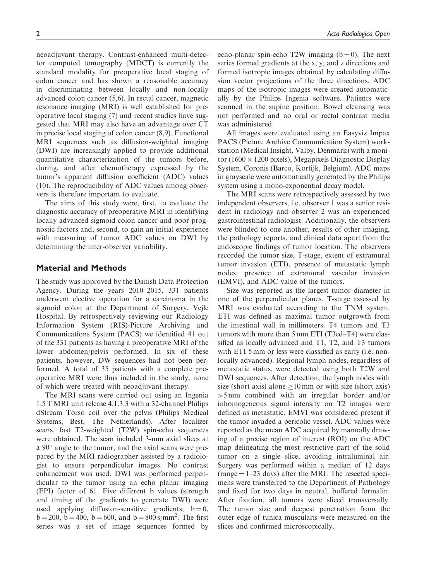neoadjuvant therapy. Contrast-enhanced multi-detector computed tomography (MDCT) is currently the standard modality for preoperative local staging of colon cancer and has shown a reasonable accuracy in discriminating between locally and non-locally advanced colon cancer (5,6). In rectal cancer, magnetic resonance imaging (MRI) is well established for preoperative local staging (7) and recent studies have suggested that MRI may also have an advantage over CT in precise local staging of colon cancer (8,9). Functional MRI sequences such as diffusion-weighted imaging (DWI) are increasingly applied to provide additional quantitative characterization of the tumors before, during, and after chemotherapy expressed by the tumor's apparent diffusion coefficient (ADC) values (10). The reproducibility of ADC values among observers is therefore important to evaluate.

The aims of this study were, first, to evaluate the diagnostic accuracy of preoperative MRI in identifying locally advanced sigmoid colon cancer and poor prognostic factors and, second, to gain an initial experience with measuring of tumor ADC values on DWI by determining the inter-observer variability.

# Material and Methods

The study was approved by the Danish Data Protection Agency. During the years 2010–2015, 331 patients underwent elective operation for a carcinoma in the sigmoid colon at the Department of Surgery, Vejle Hospital. By retrospectively reviewing our Radiology Information System (RIS)-Picture Archiving and Communications System (PACS) we identified 41 out of the 331 patients as having a preoperative MRI of the lower abdomen/pelvis performed. In six of these patients, however, DW sequences had not been performed. A total of 35 patients with a complete preoperative MRI were thus included in the study, none of which were treated with neoadjuvant therapy.

The MRI scans were carried out using an Ingenia 1.5 T MRI unit release 4.1.3.3 with a 32-channel Philips dStream Torso coil over the pelvis (Philips Medical Systems, Best, The Netherlands). After localizer scans, fast T2-weighted (T2W) spin-echo sequences were obtained. The scan included 3-mm axial slices at a  $90^\circ$  angle to the tumor, and the axial scans were prepared by the MRI radiographer assisted by a radiologist to ensure perpendicular images. No contrast enhancement was used. DWI was performed perpendicular to the tumor using an echo planar imaging (EPI) factor of 61. Five different b values (strength and timing of the gradients to generate DWI) were used applying diffusion-sensitive gradients;  $b = 0$ ,  $b = 200$ ,  $b = 400$ ,  $b = 600$ , and  $b = 800$  s/mm<sup>2</sup>. The first series was a set of image sequences formed by

echo-planar spin-echo T2W imaging  $(b=0)$ . The next series formed gradients at the x, y, and z directions and formed isotropic images obtained by calculating diffusion vector projections of the three directions. ADC maps of the isotropic images were created automatically by the Philips Ingenia software. Patients were scanned in the supine position. Bowel cleansing was not performed and no oral or rectal contrast media was administered.

All images were evaluated using an Easyviz Impax PACS (Picture Archive Communication System) workstation (Medical Insight, Valby, Denmark) with a monitor (1600  $\times$  1200 pixels), Megapixels Diagnostic Display System, Coronis (Barco, Kortijk, Belgium). ADC maps in grayscale were automatically generated by the Philips system using a mono-exponential decay model.

The MRI scans were retrospectively assessed by two independent observers, i.e. observer 1 was a senior resident in radiology and observer 2 was an experienced gastrointestinal radiologist. Additionally, the observers were blinded to one another, results of other imaging, the pathology reports, and clinical data apart from the endoscopic findings of tumor location. The observers recorded the tumor size, T-stage, extent of extramural tumor invasion (ETI), presence of metastatic lymph nodes, presence of extramural vascular invasion (EMVI), and ADC value of the tumors.

Size was reported as the largest tumor diameter in one of the perpendicular planes. T-stage assessed by MRI was evaluated according to the TNM system. ETI was defined as maximal tumor outgrowth from the intestinal wall in millimeters. T4 tumors and T3 tumors with more than 5 mm ETI (T3cd–T4) were classified as locally advanced and T1, T2, and T3 tumors with ETI 5 mm or less were classified as early (*i.e.* nonlocally advanced). Regional lymph nodes, regardless of metastatic status, were detected using both T2W and DWI sequences. After detection, the lymph nodes with size (short axis) alone  $>10$  mm or with size (short axis) >5 mm combined with an irregular border and/or inhomogeneous signal intensity on T2 images were defined as metastatic. EMVI was considered present if the tumor invaded a pericolic vessel. ADC values were reported as the mean ADC acquired by manually drawing of a precise region of interest (ROI) on the ADC map delineating the most restrictive part of the solid tumor on a single slice, avoiding intraluminal air. Surgery was performed within a median of 12 days  $(range = 1-23 days)$  after the MRI. The resected specimens were transferred to the Department of Pathology and fixed for two days in neutral, buffered formalin. After fixation, all tumors were sliced transversally. The tumor size and deepest penetration from the outer edge of tunica muscularis were measured on the slices and confirmed microscopically.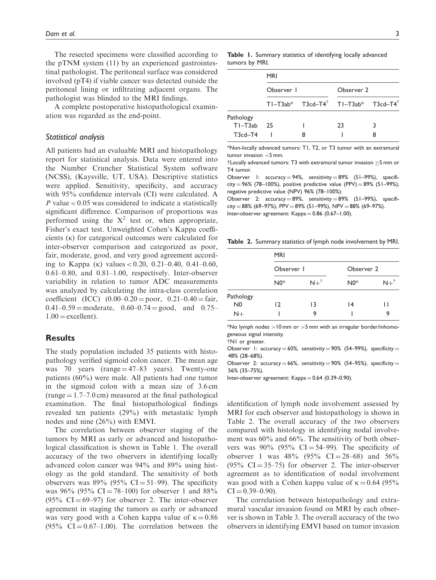The resected specimens were classified according to the pTNM system (11) by an experienced gastrointestinal pathologist. The peritoneal surface was considered involved (pT4) if viable cancer was detected outside the peritoneal lining or infiltrating adjacent organs. The pathologist was blinded to the MRI findings.

A complete postoperative histopathological examination was regarded as the end-point.

#### Statistical analysis

All patients had an evaluable MRI and histopathology report for statistical analysis. Data were entered into the Number Cruncher Statistical System software (NCSS), (Kaysville, UT, USA). Descriptive statistics were applied. Sensitivity, specificity, and accuracy with 95% confidence intervals (CI) were calculated. A P value  $< 0.05$  was considered to indicate a statistically significant difference. Comparison of proportions was performed using the  $X^2$  test or, when appropriate, Fisher's exact test. Unweighted Cohen's Kappa coefficients  $(\kappa)$  for categorical outcomes were calculated for inter-observer comparison and categorized as poor, fair, moderate, good, and very good agreement according to Kappa (k) values  $< 0.20, 0.21 - 0.40, 0.41 - 0.60$ , 0.61–0.80, and 0.81–1.00, respectively. Inter-observer variability in relation to tumor ADC measurements was analyzed by calculating the intra-class correlation coefficient (ICC)  $(0.00-0.20) =$ poor,  $0.21-0.40 =$ fair,  $0.41-0.59$  = moderate,  $0.60-0.74$  = good, and 0.75–  $1.00 =$  excellent).

# **Results**

The study population included 35 patients with histopathology verified sigmoid colon cancer. The mean age was 70 years (range  $=$  47–83 years). Twenty-one patients (60%) were male. All patients had one tumor in the sigmoid colon with a mean size of 3.6 cm  $(range = 1.7 - 7.0 cm) measured at the final pathological$ examination. The final histopathological findings revealed ten patients (29%) with metastatic lymph nodes and nine (26%) with EMVI.

The correlation between observer staging of the tumors by MRI as early or advanced and histopathological classification is shown in Table 1. The overall accuracy of the two observers in identifying locally advanced colon cancer was 94% and 89% using histology as the gold standard. The sensitivity of both observers was  $89\%$  (95% CI = 51–99). The specificity was 96% (95% CI = 78–100) for observer 1 and 88%  $(95\% \text{ CI} = 69-97)$  for observer 2. The inter-observer agreement in staging the tumors as early or advanced was very good with a Cohen kappa value of  $\kappa = 0.86$  $(95\% \text{ CI} = 0.67-1.00)$ . The correlation between the

Table 1. Summary statistics of identifying locally advanced tumors by MRI.

|                          | <b>MRI</b> |                                                               |            |  |  |
|--------------------------|------------|---------------------------------------------------------------|------------|--|--|
|                          | Observer 1 |                                                               | Observer 2 |  |  |
|                          |            | $T1-T3ab*$ T3cd-T4 <sup>†</sup> T1-T3ab* T3cd-T4 <sup>†</sup> |            |  |  |
| Pathology<br>$T1 - T3ab$ | 25         |                                                               | 23         |  |  |
| $T3cd-T4$                |            |                                                               |            |  |  |

\*Non-locally advanced tumors: T1, T2, or T3 tumor with an extramural  $t$ umor invasion  $\leq$ 5 mm.

 $\frac{1}{2}$ Locally advanced tumors: T3 with extramural tumor invasion  $>$ 5 mm or T4 tumor.

Observer 1:  $accuracy = 94\%$ , sensitivity  $= 89\%$  (51–99%), specificity = 96% (78-100%), positive predictive value (PPV) = 89% (51-99%), negative predictive value (NPV) 96% (78–100%).

Observer 2: accuracy  $= 89\%$ , sensitivity  $= 89\%$  (51–99%), specificity = 88% (69–97%), PPV = 89% (51–99%), NPV = 88% (69–97%). Inter-observer agreement:  $Kappa = 0.86$  (0.67-1.00).

Table 2. Summary statistics of lymph node involvement by MRI.

|                | <b>MRI</b>     |                |            |                |  |
|----------------|----------------|----------------|------------|----------------|--|
|                | Observer I     |                | Observer 2 |                |  |
|                | $N0*$          | $N+^{\dagger}$ | $N0*$      | $N+^{\dagger}$ |  |
| Pathology      |                |                |            |                |  |
| N <sub>0</sub> | $\overline{2}$ | 13             | 14         | Н              |  |
| $N+$           |                | 9              |            | 9              |  |

\*No lymph nodes  $>10$  mm or  $>5$  mm with an irregular border/inhomogeneous signal intensity.

tN1 or greater.

Observer 1: accuracy  $= 60\%$ , sensitivity  $= 90\%$  (54–99%), specificity  $=$ 48% (28–68%).

Observer 2: accuracy  $= 66\%$ , sensitivity  $= 90\%$  (54–95%), specificity  $=$ 56% (35–75%).

Inter-observer agreement:  $Kappa = 0.64$  (0.39-0.90).

identification of lymph node involvement assessed by MRI for each observer and histopathology is shown in Table 2. The overall accuracy of the two observers compared with histology in identifying nodal involvement was 60% and 66%. The sensitivity of both observers was  $90\%$  (95% CI = 54–99). The specificity of observer 1 was 48% (95%  $CI = 28-68$ ) and 56%  $(95\% \text{ CI} = 35-75)$  for observer 2. The inter-observer agreement as to identification of nodal involvement was good with a Cohen kappa value of  $\kappa = 0.64$  (95%)  $CI = 0.39 - 0.90$ .

The correlation between histopathology and extramural vascular invasion found on MRI by each observer is shown in Table 3. The overall accuracy of the two observers in identifying EMVI based on tumor invasion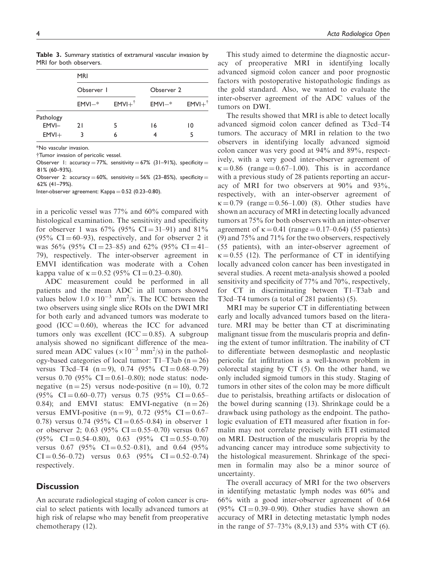|                    | <b>MRI</b> |                       |            |                       |  |
|--------------------|------------|-----------------------|------------|-----------------------|--|
|                    | Observer I |                       | Observer 2 |                       |  |
|                    | $EMVI-$    | $EMVI +$ <sup>†</sup> | $EMVI-$    | $EMVI +$ <sup>†</sup> |  |
| Pathology<br>EMVI- | 21         | 5                     | 16         | 10                    |  |
| $EMVI+$            |            | 6                     |            |                       |  |

Table 3. Summary statistics of extramural vascular invasion by MRI for both observers.

\*No vascular invasion.

yTumor invasion of pericolic vessel.

Observer 1: accuracy = 77%, sensitivity = 67% (31–91%), specificity = 81% (60–93%).

Observer 2: accuracy  $= 60\%$ , sensitivity  $= 56\%$  (23-85%), specificity  $=$ 62% (41–79%).

Inter-observer agreement:  $Kappa = 0.52$  (0.23-0.80).

in a pericolic vessel was 77% and 60% compared with histological examination. The sensitivity and specificity for observer 1 was  $67\%$  (95% CI = 31–91) and 81%  $(95\% \text{ CI} = 60-93)$ , respectively, and for observer 2 it was 56% (95% CI = 23–85) and 62% (95% CI = 41– 79), respectively. The inter-observer agreement in EMVI identification was moderate with a Cohen kappa value of  $\kappa = 0.52$  (95% CI = 0.23–0.80).

ADC measurement could be performed in all patients and the mean ADC in all tumors showed values below  $1.0 \times 10^{-3}$  mm<sup>2</sup>/s. The ICC between the two observers using single slice ROIs on the DWI MRI for both early and advanced tumors was moderate to good (ICC =  $0.60$ ), whereas the ICC for advanced tumors only was excellent (ICC = 0.85). A subgroup analysis showed no significant difference of the measured mean ADC values ( $\times 10^{-3}$  mm<sup>2</sup>/s) in the pathology-based categories of local tumor: T1–T3ab  $(n = 26)$ versus T3cd–T4  $(n=9)$ , 0.74  $(95\% \text{ CI} = 0.68-0.79)$ versus 0.70 (95%  $CI = 0.61 - 0.80$ ); node status: nodenegative  $(n = 25)$  versus node-positive  $(n = 10)$ , 0.72  $(95\% \text{ CI} = 0.60 - 0.77) \text{ versus } 0.75 \ (95\% \text{ CI} = 0.65 -$ 0.84); and EMVI status: EMVI-negative  $(n = 26)$ versus EMVI-positive  $(n = 9)$ , 0.72 (95% CI = 0.67– 0.78) versus 0.74 (95% CI = 0.65–0.84) in observer 1 or observer 2; 0.63 (95% CI = 0.55–0.70) versus 0.67  $(95\% \text{ CI} = 0.54 \text{--} 0.80), \quad 0.63 \quad (95\% \text{ CI} = 0.55 \text{--} 0.70)$ versus 0.67 (95%  $CI = 0.52 - 0.81$ ), and 0.64 (95%  $CI = 0.56 - 0.72$  versus 0.63  $(95\% \text{ CI} = 0.52 - 0.74)$ respectively.

#### **Discussion**

An accurate radiological staging of colon cancer is crucial to select patients with locally advanced tumors at high risk of relapse who may benefit from preoperative chemotherapy (12).

This study aimed to determine the diagnostic accuracy of preoperative MRI in identifying locally advanced sigmoid colon cancer and poor prognostic factors with postoperative histopathologic findings as the gold standard. Also, we wanted to evaluate the inter-observer agreement of the ADC values of the tumors on DWI.

The results showed that MRI is able to detect locally advanced sigmoid colon cancer defined as T3cd–T4 tumors. The accuracy of MRI in relation to the two observers in identifying locally advanced sigmoid colon cancer was very good at 94% and 89%, respectively, with a very good inter-observer agreement of  $\kappa = 0.86$  (range  $= 0.67 - 1.00$ ). This is in accordance with a previous study of 28 patients reporting an accuracy of MRI for two observers at 90% and 93%, respectively, with an inter-observer agreement of  $k = 0.79$  (range  $= 0.56-1.00$ ) (8). Other studies have shown an accuracy of MRI in detecting locally advanced tumors at 75% for both observers with an inter-observer agreement of  $\kappa = 0.41$  (range  $= 0.17{\text -}0.64$ ) (55 patients) (9) and 75% and 71% for the two observers, respectively (55 patients), with an inter-observer agreement of  $\kappa = 0.55$  (12). The performance of CT in identifying locally advanced colon cancer has been investigated in several studies. A recent meta-analysis showed a pooled sensitivity and specificity of 77% and 70%, respectively, for CT in discriminating between T1–T3ab and T3cd–T4 tumors (a total of 281 patients) (5).

MRI may be superior CT in differentiating between early and locally advanced tumors based on the literature. MRI may be better than CT at discriminating malignant tissue from the muscularis propria and defining the extent of tumor infiltration. The inability of CT to differentiate between desmoplastic and neoplastic pericolic fat infiltration is a well-known problem in colorectal staging by CT (5). On the other hand, we only included sigmoid tumors in this study. Staging of tumors in other sites of the colon may be more difficult due to peristalsis, breathing artifacts or dislocation of the bowel during scanning (13). Shrinkage could be a drawback using pathology as the endpoint. The pathologic evaluation of ETI measured after fixation in formalin may not correlate precisely with ETI estimated on MRI. Destruction of the muscularis propria by the advancing cancer may introduce some subjectivity to the histological measurement. Shrinkage of the specimen in formalin may also be a minor source of uncertainty.

The overall accuracy of MRI for the two observers in identifying metastatic lymph nodes was 60% and 66% with a good inter-observer agreement of 0.64  $(95\% \text{ CI} = 0.39{\text -}0.90)$ . Other studies have shown an accuracy of MRI in detecting metastatic lymph nodes in the range of  $57-73\%$  (8,9,13) and  $53\%$  with CT (6).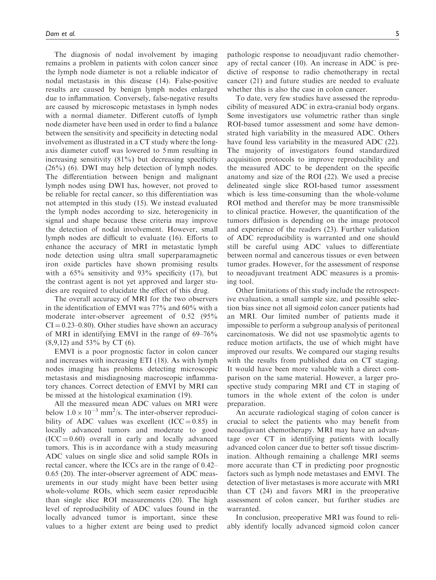The diagnosis of nodal involvement by imaging remains a problem in patients with colon cancer since the lymph node diameter is not a reliable indicator of nodal metastasis in this disease (14). False-positive results are caused by benign lymph nodes enlarged due to inflammation. Conversely, false-negative results are caused by microscopic metastases in lymph nodes with a normal diameter. Different cutoffs of lymph node diameter have been used in order to find a balance between the sensitivity and specificity in detecting nodal involvement as illustrated in a CT study where the longaxis diameter cutoff was lowered to 5 mm resulting in increasing sensitivity (81%) but decreasing specificity  $(26\%)$  (6). DWI may help detection of lymph nodes. The differentiation between benign and malignant lymph nodes using DWI has, however, not proved to be reliable for rectal cancer, so this differentiation was not attempted in this study (15). We instead evaluated the lymph nodes according to size, heterogenicity in signal and shape because these criteria may improve the detection of nodal involvement. However, small lymph nodes are difficult to evaluate (16). Efforts to enhance the accuracy of MRI in metastatic lymph node detection using ultra small superparamagnetic iron oxide particles have shown promising results with a 65% sensitivity and 93% specificity (17), but the contrast agent is not yet approved and larger studies are required to elucidate the effect of this drug.

The overall accuracy of MRI for the two observers in the identification of EMVI was 77% and 60% with a moderate inter-observer agreement of 0.52 (95%  $CI = 0.23 - 0.80$ . Other studies have shown an accuracy of MRI in identifying EMVI in the range of 69–76% (8,9,12) and 53% by CT (6).

EMVI is a poor prognostic factor in colon cancer and increases with increasing ETI (18). As with lymph nodes imaging has problems detecting microscopic metastasis and misdiagnosing macroscopic inflammatory chances. Correct detection of EMVI by MRI can be missed at the histological examination (19).

All the measured mean ADC values on MRI were below  $1.0 \times 10^{-3}$  mm<sup>2</sup>/s. The inter-observer reproducibility of ADC values was excellent  $(ICC = 0.85)$  in locally advanced tumors and moderate to good  $(ICC = 0.60)$  overall in early and locally advanced tumors. This is in accordance with a study measuring ADC values on single slice and solid sample ROIs in rectal cancer, where the ICCs are in the range of 0.42– 0.65 (20). The inter-observer agreement of ADC measurements in our study might have been better using whole-volume ROIs, which seem easier reproducible than single slice ROI measurements (20). The high level of reproducibility of ADC values found in the locally advanced tumor is important, since these values to a higher extent are being used to predict pathologic response to neoadjuvant radio chemotherapy of rectal cancer (10). An increase in ADC is predictive of response to radio chemotherapy in rectal cancer (21) and future studies are needed to evaluate whether this is also the case in colon cancer.

To date, very few studies have assessed the reproducibility of measured ADC in extra-cranial body organs. Some investigators use volumetric rather than single ROI-based tumor assessment and some have demonstrated high variability in the measured ADC. Others have found less variability in the measured ADC (22). The majority of investigators found standardized acquisition protocols to improve reproducibility and the measured ADC to be dependent on the specific anatomy and size of the ROI (22). We used a precise delineated single slice ROI-based tumor assessment which is less time-consuming than the whole-volume ROI method and therefor may be more transmissible to clinical practice. However, the quantification of the tumors diffusion is depending on the image protocol and experience of the readers (23). Further validation of ADC reproducibility is warranted and one should still be careful using ADC values to differentiate between normal and cancerous tissues or even between tumor grades. However, for the assessment of response to neoadjuvant treatment ADC measures is a promising tool.

Other limitations of this study include the retrospective evaluation, a small sample size, and possible selection bias since not all sigmoid colon cancer patients had an MRI. Our limited number of patients made it impossible to perform a subgroup analysis of peritoneal carcinomatosis. We did not use spasmolytic agents to reduce motion artifacts, the use of which might have improved our results. We compared our staging results with the results from published data on CT staging. It would have been more valuable with a direct comparison on the same material. However, a larger prospective study comparing MRI and CT in staging of tumors in the whole extent of the colon is under preparation.

An accurate radiological staging of colon cancer is crucial to select the patients who may benefit from neoadjuvant chemotherapy. MRI may have an advantage over CT in identifying patients with locally advanced colon cancer due to better soft tissue discrimination. Although remaining a challenge MRI seems more accurate than CT in predicting poor prognostic factors such as lymph node metastases and EMVI. The detection of liver metastases is more accurate with MRI than CT (24) and favors MRI in the preoperative assessment of colon cancer, but further studies are warranted.

In conclusion, preoperative MRI was found to reliably identify locally advanced sigmoid colon cancer